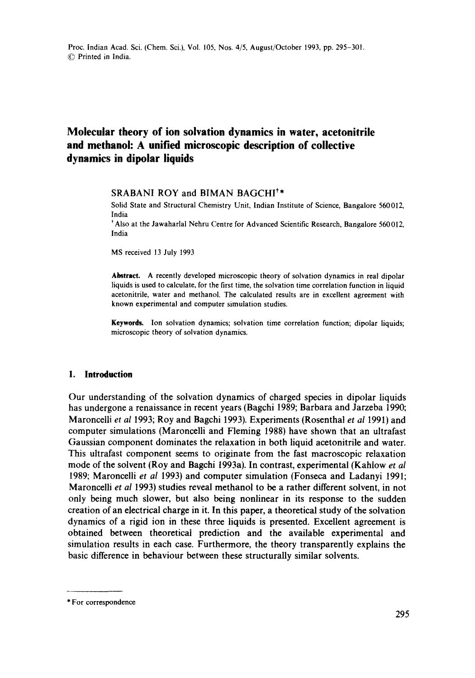# **Molecular theory of ion solvation dynamics in water, acetonitrile and methanol: A unified microscopic description of collective dynamics in dipolar liquids**

# SRABANI ROY and BIMAN BAGCHI<sup>†\*</sup>

Solid State and Structural Chemistry Unit, Indian Institute of Science, Bangalore 560012, India

\* Also at the Jawaharlal Nehru Centre for Advanced Scientific Research, Bangalore 560012, India

MS received 13 July 1993

**Abstract.** A recently developed microscopic theory of solvation dynamics in real dipolar liquids is used to calculate, for the first time, the solvation time correlation function in liquid acetonitrile, water and methanol. The calculated results are in excellent agreement with known experimental and computer simulation studies.

Keywords. Ion solvation dynamics; solvation time correlation function; dipolar liquids; microscopic theory of solvation dynamics.

# **1. Introduction**

Our understanding of the solvation dynamics of charged species in dipolar liquids has undergone a renaissance in recent years (Bagchi 1989; Barbara and Jarzeba 1990; Maroncelli *et al* 1993; Roy and Bagchi 1993). Experiments (Rosenthal *et al* 1991) and computer simulations (Maroncelli and Fleming 1988) have shown that an ultrafast Gaussian component dominates the relaxation in both liquid acetonitrile and water. This ultrafast component seems to originate from the fast macroscopic relaxation mode of the solvent (Roy and Bagchi 1993a). In contrast, experimental (Kahlow *et al*  1989; Maroncelli *et al* 1993) and computer simulation (Fonseca and Ladanyi 1991; Maroncelli *et al* 1993) studies reveal methanol to be a rather different solvent, in not only being much slower, but also being nonlinear in its response to the sudden creation of an electrical charge in it. In this paper, a theoretical study of the solvation dynamics of a rigid ion in these three liquids is presented. Excellent agreement is obtained between theoretical prediction and the available experimental and simulation results in each case. Furthermore, the theory transparently explains the basic difference in behaviour between these structurally similar solvents.

\* For correspondence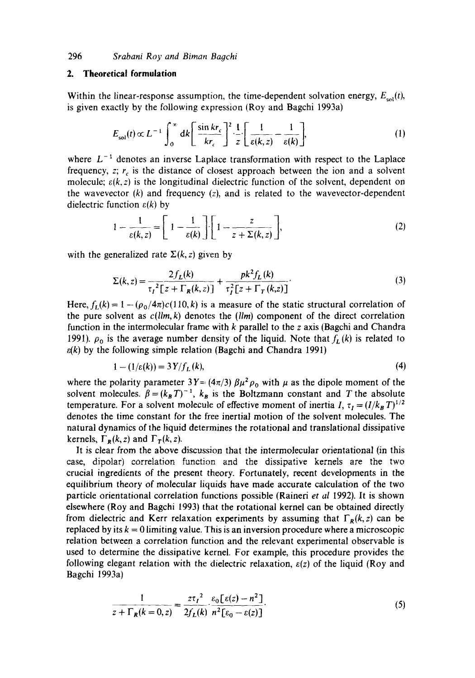# **2. Theoretical formulation**

Within the linear-response assumption, the time-dependent solvation energy,  $E_{\text{col}}(t)$ , is given exactly by the following expression (Roy and Bagchi 1993a)

$$
E_{\rm sol}(t) \propto L^{-1} \int_0^\infty dk \left[ \frac{\sin kr_c}{kr_c} \right]^2 \frac{1}{z} \left[ \frac{1}{\varepsilon(k, z)} - \frac{1}{\varepsilon(k)} \right],\tag{1}
$$

where  $L^{-1}$  denotes an inverse Laplace transformation with respect to the Laplace frequency,  $z$ ;  $r_c$  is the distance of closest approach between the ion and a solvent molecule;  $\varepsilon(k, z)$  is the longitudinal dielectric function of the solvent, dependent on the wavevector  $(k)$  and frequency  $(z)$ , and is related to the wavevector-dependent dielectric function  $\varepsilon(k)$  by

$$
1 - \frac{1}{\varepsilon(k, z)} = \left[ 1 - \frac{1}{\varepsilon(k)} \right] \cdot \left[ 1 - \frac{z}{z + \Sigma(k, z)} \right],
$$
 (2)

with the generalized rate  $\Sigma(k, z)$  given by

$$
\Sigma(k, z) = \frac{2f_L(k)}{\tau_I^2 \left[ z + \Gamma_R(k, z) \right]} + \frac{pk^2 f_L(k)}{\tau_I^2 \left[ z + \Gamma_T(k, z) \right]}.
$$
 (3)

Here,  $f_L(k) = 1 - (\rho_0/4\pi)c(110, k)$  is a measure of the static structural correlation of the pure solvent as *c(llm, k)* denotes the *(llm)* component of the direct correlation function in the intermolecular frame with  $k$  parallel to the z axis (Bagchi and Chandra 1991).  $\rho_0$  is the average number density of the liquid. Note that  $f_L(k)$  is related to  $\varepsilon(k)$  by the following simple relation (Bagchi and Chandra 1991)

$$
1 - (1/\varepsilon(k)) = 3Y/f_L(k),\tag{4}
$$

where the polarity parameter  $3Y = (4\pi/3) \beta \mu^2 \rho_0$  with  $\mu$  as the dipole moment of the solvent molecules.  $\beta = (k_B T)^{-1}$ ,  $k_B$  is the Boltzmann constant and T the absolute temperature. For a solvent molecule of effective moment of inertia I,  $\tau_I = (I/k_B T)^{1/2}$ denotes the time constant for the free inertial motion of the solvent molecules. The natural dynamics of the liquid determines the rotational and translational dissipative kernels,  $\Gamma_R(k, z)$  and  $\Gamma_T(k, z)$ .

It is clear from the above discussion that the intermolecular orientational (in this case, dipolar) correlation function and the dissipative kernels are the two crucial ingredients of the present theory. Fortunately, recent developments in the equilibrium theory of molecular liquids have made accurate calculation of the two particle orientational correlation functions possible (Raineri *et al* 1992). It is shown elsewhere (Roy and Bagchi 1993} that the rotational kernel can be obtained directly from dielectric and Kerr relaxation experiments by assuming that  $\Gamma_R(k, z)$  can be replaced by its  $k = 0$  limiting value. This is an inversion procedure where a microscopic relation between a correlation function and the relevant experimental observable is used to determine the dissipative kernel. For example, this procedure provides the following elegant relation with the dielectric relaxation,  $\varepsilon(z)$  of the liquid (Roy and Bagchi 1993a)

$$
\frac{1}{z + \Gamma_R(k=0, z)} = \frac{z\tau_I^2}{2f_L(k)} \cdot \frac{\varepsilon_0[\varepsilon(z) - n^2]}{n^2[\varepsilon_0 - \varepsilon(z)]}.
$$
 (5)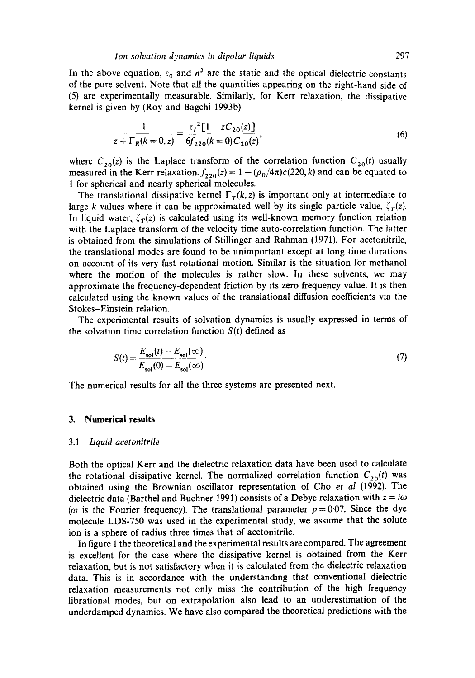In the above equation,  $\varepsilon_0$  and  $n^2$  are the static and the optical dielectric constants of the pure solvent. Note that all the quantities appearing on the right-hand side of (5) are experimentally measurable. Similarly, for Kerr relaxation, the dissipative kernel is given by (Roy and Bagchi 1993b)

$$
\frac{1}{z + \Gamma_R(k=0, z)} = \frac{\tau_I^2 [1 - zC_{20}(z)]}{6f_{220}(k=0)C_{20}(z)},
$$
(6)

where  $C_{20}(z)$  is the Laplace transform of the correlation function  $C_{20}(t)$  usually measured in the Kerr relaxation.  $f_{220}(z) = 1 - (\rho_0/4\pi)c(220, k)$  and can be equated to 1 for spherical and nearly spherical molecules.

The translational dissipative kernel  $\Gamma_T(k, z)$  is important only at intermediate to large k values where it can be approximated well by its single particle value,  $\zeta_T(z)$ . In liquid water,  $\zeta_T(z)$  is calculated using its well-known memory function relation with the Laplace transform of the velocity time auto-correlation function. The latter is obtained from the simulations of Stillinger and Rahman (1971). For acetonitrile, the translational modes are found to be unimportant except at long time durations on account of its very fast rotational motion. Similar is the situation for methanol where the motion of the molecules is rather slow. In these solvents, we may approximate the frequency-dependent friction by its zero frequency value. It is then calculated using the known values of the translational diffusion coefficients via the Stokes-Einstein relation.

The experimental results of solvation dynamics is usually expressed in terms of the solvation time correlation function  $S(t)$  defined as

$$
S(t) = \frac{E_{sol}(t) - E_{sol}(\infty)}{E_{sol}(0) - E_{sol}(\infty)}.
$$
\n(7)

The numerical results for all the three systems are presented next.

### **3. Numerical results**

#### *3.1 Liquid acetonitrile*

Both the optical Kerr and the dielectric relaxation data have been used to calculate the rotational dissipative kernel. The normalized correlation function  $C_{20}(t)$  was obtained using the Brownian oscillator representation of Cho *et al* (1992). The dielectric data (Barthel and Buchner 1991) consists of a Debye relaxation with  $z = i\omega$ ( $\omega$  is the Fourier frequency). The translational parameter  $p = 0.07$ . Since the dye molecule LDS-750 was used in the experimental study, we assume that the solute ion is a sphere of radius three times that of acetonitrile.

In figure 1 the theoretical and the experimental results are compared. The agreement is excellent for the case where the dissipative kernel is obtained from the Kerr relaxation, but is not satisfactory when it is calculated from the dielectric relaxation data. This is in accordance with the understanding that conventional dielectric relaxation measurements not only miss the contribution of the high frequency librational modes, but on extrapolation also lead to an underestimation of the underdamped dynamics. We have also compared the theoretical predictions with the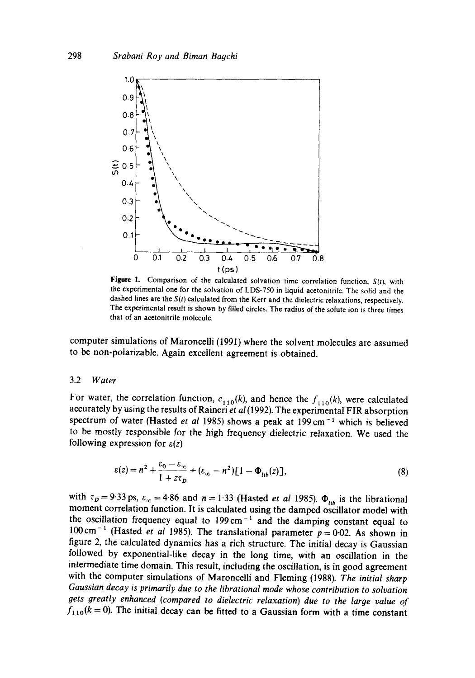

**Figure** 1. Comparison of the calculated solvation time correlation function, *S(t),* with the experimental one for the solvation of LDS-750 in liquid acetonitrile. The solid and the dashed lines are the *S(t)* calculated from the Kerr and the dielectric relaxations, respectively. The experimental result is shown by filled circles. The radius of the solute ion is three times that of an acetonitrile molecule.

computer simulations of Maroncelli (1991) where the solvent molecules are assumed to be non-polarizable. Again excellent agreement is obtained.

### 3.2 *Water*

For water, the correlation function,  $c_{110}(k)$ , and hence the  $f_{110}(k)$ , were calculated accurately by using the results of Raineri *et al* (1992). The experimental FIR absorption spectrum of water (Hasted *et al 1985*) shows a peak at 199 cm<sup>-1</sup> which is believed to be mostly responsible for the high frequency dielectric relaxation. We used the following expression for  $\varepsilon(z)$ 

$$
\varepsilon(z) = n^2 + \frac{\varepsilon_0 - \varepsilon_\infty}{1 + z\tau_D} + (\varepsilon_\infty - n^2) [1 - \Phi_{lib}(z)],\tag{8}
$$

with  $\tau_p = 9.33 \text{ ps}, \varepsilon_{\infty} = 4.86 \text{ and } n = 1.33$  (Hasted *et al 1985)*.  $\Phi_{\text{lib}}$  is the librational moment correlation function. It is calculated using the damped oscillator model with the oscillation frequency equal to  $199 \text{ cm}^{-1}$  and the damping constant equal to  $100 \text{ cm}^{-1}$  (Hasted *et al 1985)*. The translational parameter  $p = 0.02$ . As shown in figure 2, the calculated dynamics has a rich structure. The initial decay is Gaussian followed by exponential-like decay in the long time, with an oscillation in the intermediate time domain. This result, including the oscillation, is in good agreement with the computer simulations of Maroncelli and Fleming (1988). *The initial sharp Gaussian decay is primarily due to the librational mode whose contribution to solvation gets greatly enhanced (compared to dielectric relaxation) due to the large value of*   $f_{110}(k = 0)$ . The initial decay can be fitted to a Gaussian form with a time constant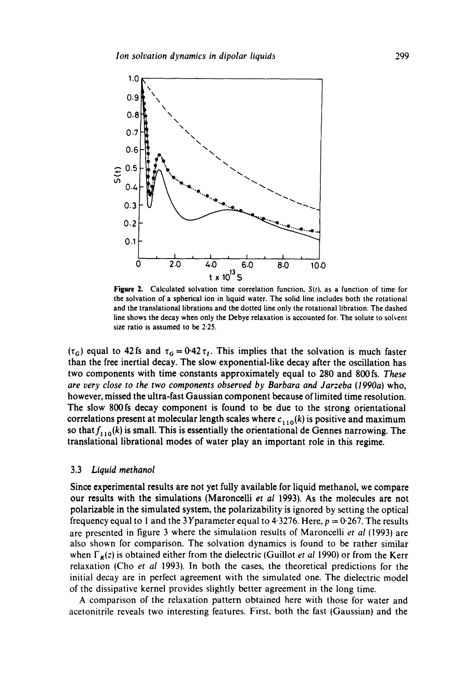

**Figure 2.** Calculated solvation time correlation function,  $S(t)$ , as a function of time for the solvation of a spherical ion in liquid water. The solid line includes both the rotational and the translational librations and the dotted line only the rotational libration. The dashed line shows the decay when only the Debye relaxation is accounted for. The solute to solvent size ratio is assumed to be 2.25.

( $\tau_G$ ) equal to 42 fs and  $\tau_G = 0.42 \tau_I$ . This implies that the solvation is much faster than the free inertial decay. The slow exponential-like decay after the oscillation has two components with time constants approximately equal to 280 and 800 fs. *These are very close to the two components observed by Barbara and Jarzeba (1990a)* who, however, missed the ultra-fast Gaussian component because of limited time resolution. The slow 800fs decay component is found to be due to the strong orientational correlations present at molecular length scales where  $c_{1,10}(k)$  is positive and maximum so that  $f_{1,10}(k)$  is small. This is essentially the orientational de Gennes narrowing. The translational librational modes of water play an important role in this regime.

### 3.3 *Liquid methanol*

Since experimental results are not yet fully available for liquid methanol, we compare our results with the simulations (Maroncelli *et al* 1993). As the molecules are not polarizable in the simulated system, the polarizability is ignored by setting the optical frequency equal to 1 and the 3 Yparameter equal to 4.3276. Here,  $p = 0.267$ . The results are presented in figure 3 where the simulation results of Maroncelli *et al* (1993) are also shown for comparison. The solvation dynamics is found to be rather similar when  $\Gamma_R(z)$  is obtained either from the dielectric (Guillot *et al 1990*) or from the Kerr relaxation (Cho *et al* 1993). In both the cases, the theoretical predictions for the initial decay are in perfect agreement with the simulated one. The dielectric model of the dissipative kernel provides slightly better agreement in the long time.

A comparison of the relaxation pattern obtained here with those for water and acetonitrile reveals two interesting features. First, both the fast (Gaussian) and the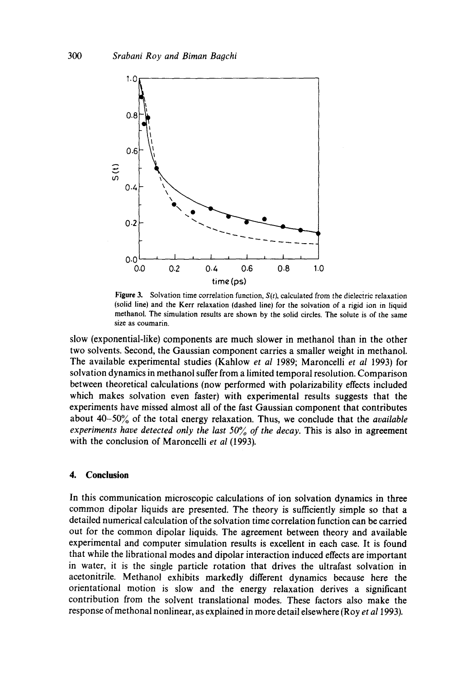

Figure 3. Solvation time correlation function,  $S(t)$ , calculated from the dielectric relaxation (solid line) and the Kerr relaxation (dashed line) for the solvation of a rigid ion in liquid methanol. The simulation results are shown by the solid circles. The solute is of the same size as coumarin.

slow (exponential-like) components are much slower in methanol than in the other two solvents. Second, the Gaussian component carries a smaller weight in methanol. The available experimental studies (Kahlow *et al* 1989; Maroncelli *et al* 1993) for solvation dynamics in methanol suffer from a limited temporal resolution. Comparison between theoretical calculations (now performed with polarizability effects included which makes solvation even faster) with experimental results suggests that the experiments have missed almost all of the fast Gaussian component that contributes about 40-50% of the total energy relaxation. Thus, we conclude that the *available experiments have detected only the last 50% of the decay. This is also in agreement* with the conclusion of Maroncelli *et al* (1993).

# **4. Conclusion**

In this communication microscopic calculations of ion solvation dynamics in three common dipolar liquids are presented. The theory is sufficiently simple so that a detailed numerical calculation of the solvation time correlation function can be carried out for the common dipolar liquids. The agreement between theory and available experimental and computer simulation results is excellent in each case. It is found that while the librational modes and dipolar interaction induced effects are important in water, it is the single particle rotation that drives the ultrafast solvation in acetonitrile. Methanol exhibits markedly different dynamics because here the orientational motion is slow and the energy relaxation derives a significant contribution from the solvent translational modes, These factors also make the response of methonal nonlinear, as explained in more detail elsewhere (Roy *et al* 1993).